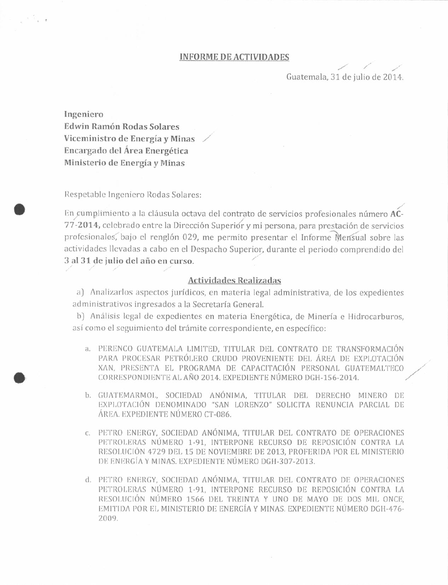## **INFORME DE ACTIVIDADES**

Guatemala, 31 de julio de 2014.

Ingeniero Edwin Ramón Rodas Solares Viceministro de Energía y Minas Encargado del Área Energética Ministerio de Energía y Minas

Respetable Ingeniero Rodas Solares:

En cumplimiento a la cláusula octava del contrato de servicios profesionales número AC-77-2014, celebrado entre la Dirección Superiór y mi persona, para prestación de servicios profesionales, bajo el renglón 029, me permito presentar el Informe Mensual sobre las actividades llevadas a cabo en el Despacho Superior, durante el periodo comprendido del 3 al 31 de julio del año en curso.

## **Actividades Realizadas**

a) Analizarlos aspectos jurídicos, en materia legal administrativa, de los expedientes administrativos ingresados a la Secretaría General.

b) Análisis legal de expedientes en materia Energética, de Minería e Hidrocarburos. así como el seguimiento del trámite correspondiente, en específico:

- a. PERENCO GUATEMALA LIMITED, TITULAR DEL CONTRATO DE TRANSFORMACIÓN PARA PROCESAR PETRÓLERO CRUDO PROVENIENTE DEL ÁREA DE EXPLOTACIÓN XAN, PRESENTA EL PROGRAMA DE CAPACITACIÓN PERSONAL GUATEMALTECO CORRESPONDIENTE AL AÑO 2014. EXPEDIENTE NÚMERO DGH-156-2014.
- b. GUATEMARMOL, SOCIEDAD ANÓNIMA, TITULAR DEL DERECHO MINERO DE EXPLOTACIÓN DENOMINADO "SAN LORENZO" SOLICITA RENUNCIA PARCIAL DE ÁREA. EXPEDIENTE NÚMERO CT-086.
- c. PETRO ENERGY, SOCIEDAD ANÓNIMA, TITULAR DEL CONTRATO DE OPERACIONES PETROLERAS NÚMERO 1-91, INTERPONE RECURSO DE REPOSICIÓN CONTRA LA RESOLUCIÓN 4729 DEL 15 DE NOVIEMBRE DE 2013, PROFERIDA POR EL MINISTERIO DE ENERGÍA Y MINAS. EXPEDIENTE NÚMERO DGH-307-2013.
- d. PETRO ENERGY, SOCIEDAD ANÓNIMA, TITULAR DEL CONTRATO DE OPERACIONES PETROLERAS NÚMERO 1-91, INTERPONE RECURSO DE REPOSICIÓN CONTRA LA RESOLUCIÓN NÚMERO 1566 DEL TREINTA Y UNO DE MAYO DE DOS MIL ONCE. EMITIDA POR EL MINISTERIO DE ENERGÍA Y MINAS. EXPEDIENTE NÚMERO DGH-476-2009.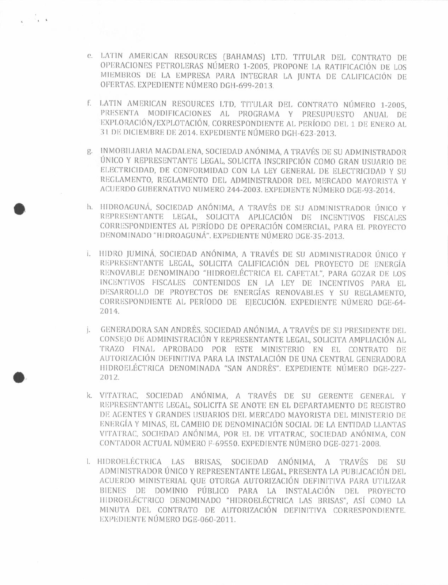- e. LATIN AMERICAN RESOURCES (BAHAMAS) LTD. TITULAR DEL CONTRATO DE OPERACIONES PETROLERAS NÚMERO 1-2005, PROPONE LA RATIFICACIÓN DE LOS MIEMBROS DE LA EMPRESA PARA INTEGRAR LA JUNTA DE CALIFICACIÓN DE OFERTAS. EXPEDIENTE NÚMERO DGH-699-2013.
- f. LATIN AMERICAN RESOURCES LTD, TITULAR DEL CONTRATO NÚMERO 1-2005. PRESENTA MODIFICACIONES AL PROGRAMA Y PRESUPUESTO ANUAL DE EXPLORACIÓN/EXPLOTACIÓN, CORRESPONDIENTE AL PERÍODO DEL 1 DE ENERO AL 31 DE DICIEMBRE DE 2014. EXPEDIENTE NÚMERO DGH-623-2013.
- g. INMOBILIARIA MAGDALENA, SOCIEDAD ANÓNIMA, A TRAVÉS DE SU ADMINISTRADOR UNICO Y REPRESENTANTE LEGAL, SOLICITA INSCRIPCIÓN COMO GRAN USUARIO DE ELECTRICIDAD, DE CONFORMIDAD CON LA LEY GENERAL DE ELECTRICIDAD Y SU REGLAMENTO, REGLAMENTO DEL ADMINISTRADOR DEL MERCADO MAYORISTA Y ACUERDO GUBERNATIVO NUMERO 244-2003. EXPEDIENTE NÚMERO DGE-93-2014.
- h. HIDROAGUNÁ, SOCIEDAD ANÓNIMA, A TRAVÉS DE SU ADMINISTRADOR ÚNICO Y REPRESENTANTE LEGAL. SOLICITA APLICACIÓN DE INCENTIVOS FISCALES CORRESPONDIENTES AL PERÍODO DE OPERACIÓN COMERCIAL, PARA EL PROYECTO DENOMINADO "HIDROAGUNÁ". EXPEDIENTE NÚMERO DGE-35-2013.
- I. HIDRO JUMINÁ, SOCIEDAD ANÓNIMA, A TRAVÉS DE SU ADMINISTRADOR ÚNICO Y REPRESENTANTE LEGAL, SOLICITA CALIFICACIÓN DEL PROYECTO DE ENERGÍA RENOVABLE DENOMINADO "HIDROELÉCTRICA EL CAFETAL", PARA GOZAR DE LOS INCENTIVOS FISCALES CONTENIDOS EN LA LEY DE INCENTIVOS PARA EL DESARROLLO DE PROYECTOS DE ENERGÍAS RENOVABLES Y SU REGLAMENTO. CORRESPONDIENTE AL PERÍODO DE EJECUCIÓN. EXPEDIENTE NÚMERO DGE-64-2014.
- j. GENERADORA SAN ANDRÉS, SOCIEDAD ANÓNIMA. A TRAVÉS DE SU PRESIDENTE DEL CONSEJO DE ADMINISTRACIÓN Y REPRESENTANTE LEGAL, SOLICITA AMPLIACIÓN AL TRAZO FINAL APROBADO POR ESTE MINISTERIO EN EL CONTRATO DE AUTORIZACIÓN DEFINITIVA PARA LA INSTALACIÓN DE UNA CENTRAL GENERADORA HIDROELÉCTRICA DENOMINADA "SAN ANDRÉS". EXPEDIENTE NÚMERO DGE-227-2012.
- k. VITATRAC, SOCIEDAD ANÓNIMA, A TRAVÉS DE SU GERENTE GENERAL Y REPRESENTANTE LEGAL, SOLICITA SE ANOTE EN EL DEPARTAMENTO DE REGISTRO DE AGENTES Y GRANDES USUARIOS DEL MERCADO MAYORISTA DEL MINISTERIO DE ENERGÍA Y MINAS, EL CAMBIO DE DENOMINACIÓN SOCIAL DE LA ENTIDAD LLANTAS VITATRAC, SOCIEDAD ANÓNIMA, POR EL DE VITATRAC, SOCIEDAD ANÓNIMA, CON CONTADOR ACTUAL NÚMERO F-69550. EXPEDIENTE NÚMERO DGE-0271-2008.
- L. HIDROELÉCTRICA LAS BRISAS, SOCIEDAD ANÓNIMA, A TRAVÉS DE SU ADMINISTRADOR ÚNICO Y REPRESENTANTE LEGAL, PRESENTA LA PUBLICACIÓN DEL ACUERDO MINISTERIAL QUE OTORGA AUTORIZACIÓN DEFINITIVA PARA UTILIZAR BIENES DE DOMINIO PÚBLICO PARA LA INSTALACIÓN DEL PROYECTO HIDROELÉCTRICO DENOMINADO "HIDROELÉCTRICA LAS BRISAS", ASÍ COMO LA MINUTA DEL CONTRATO DE AUTORIZACIÓN DEFINITIVA CORRESPONDIENTE. EXPEDIENTE NÚMERO DGE-060-2011.